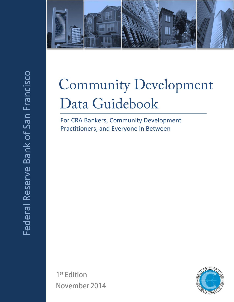

# **Community Development** Data Guidebook

For CRA Bankers, Community Development Practitioners, and Everyone in Between

1<sup>st</sup> Edition November 2014

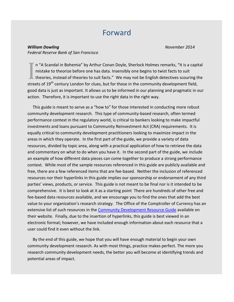## Forward

*William Dowling November 2014 Federal Reserve Bank of San Francisco* 

n "A Scandal in Bohemia" by Arthur Conan Doyle, Sherlock Holmes remarks, "It is a capital mistake to theorize before one has data. Insensibly one begins to twist facts to suit theories, instead of theories to suit facts." We may not be English detectives scouring the streets of 19<sup>th</sup> century London for clues, but for those in the community development field, good data is just as important. It allows us to be informed in our planning and pragmatic in our action. Therefore, it is important to use the right data in the right way. I

 This guide is meant to serve as a "how to" for those interested in conducting more robust community development research. This type of community-based research, often termed performance context in the regulatory world, is critical to bankers looking to make impactful investments and loans pursuant to Community Reinvestment Act (CRA) requirements. It is equally critical to community development practitioners looking to maximize impact in the areas in which they operate. In the first part of the guide, we provide a variety of data resources, divided by topic area, along with a practical application of how to retrieve the data and commentary on what to do when you have it. In the second part of the guide, we include an example of how different data pieces can come together to produce a strong performance context. While most of the sample resources referenced in this guide are publicly available and free, there are a few referenced items that are fee-based. Neither the inclusion of referenced resources nor their hyperlinks in this guide implies our sponsorship or endorsement of any third parties' views, products, or service. This guide is not meant to be final nor is it intended to be comprehensive. It is best to look at it as a starting point There are hundreds of other free and fee-based data resources available, and we encourage you to find the ones that add the best value to your organization's research strategy. The Office of the Comptroller of Currency has an extensive list of such resources in the [Community Development Resource Guide](http://www.occ.gov/topics/community-affairs/resource-directories/multifamily-rental/community-development-resource-guide.pdf) available on their website. Finally, due to the insertion of hyperlinks, this guide is best viewed in an electronic format; however, we have included enough information about each resource that a user could find it even without the link.

 By the end of this guide, we hope that you will have enough material to begin your own community development research. As with most things, practice makes perfect. The more you research community development needs, the better you will become at identifying trends and potential areas of impact.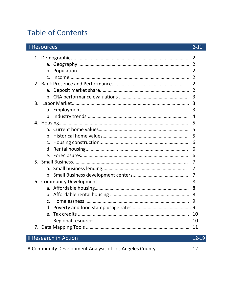## Table of Contents

| <b>Resources</b>      | $2 - 11$       |
|-----------------------|----------------|
|                       | 2              |
|                       | $\overline{2}$ |
|                       |                |
|                       | 2              |
|                       | 2              |
|                       | 2              |
|                       | $\overline{2}$ |
|                       | 3              |
| 3.                    | 3              |
|                       | 3              |
|                       | 4              |
|                       | 5              |
|                       | 5              |
|                       | 5              |
| C.                    | 6              |
|                       | 6              |
|                       | 6              |
|                       | 7              |
|                       | 7              |
|                       | 7              |
|                       | 8              |
|                       | 8              |
|                       | 8              |
| $\mathsf{C}$ .        | 9              |
|                       |                |
|                       | 10             |
| f.                    |                |
|                       | 11             |
| Il Research in Action | 12-19          |

|--|--|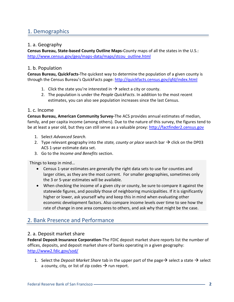## 1. Demographics

## 1. a. Geography

**Census Bureau, State-based County Outline Maps-**County maps of all the states in the U.S.: [http://www.census.gov/geo/maps-data/maps/stcou\\_outline.html](http://www.census.gov/geo/maps-data/maps/stcou_outline.html)

## 1. b. Population

**Census Bureau, QuickFacts-**The quickest way to determine the population of a given county is through the Census Bureau's QuickFacts page: <http://quickfacts.census.gov/qfd/index.html>

- 1. Click the state you're interested in  $\rightarrow$  select a city or county.
- 2. The population is under the *People QuickFacts*. In addition to the most recent estimates, you can also see population increases since the last Census.

## 1. c. Income

**Census Bureau, American Community Survey-**The ACS provides annual estimates of median, family, and per capita income (among others). Due to the nature of this survey, the figures tend to be at least a year old, but they can still serve as a valuable proxy: [http://factfinder2.census.gov](http://factfinder2.census.gov/)

- 1. Select *Advanced Search.*
- 2. Type relevant geography into the *state, county or place* search bar  $\rightarrow$  click on the DP03 ACS 1-year estimate data set.
- 3. Go to the *Income and Benefits* section.

Things to keep in mind…

- Census 1-year estimates are generally the right data sets to use for counties and larger cities, as they are the most current. For smaller geographies, sometimes only the 3 or 5-year estimates will be available.
- When checking the income of a given city or county, be sure to compare it against the statewide figures, and possibly those of neighboring municipalities. If it is significantly higher or lower, ask yourself why and keep this in mind when evaluating other economic development factors. Also compare income levels over time to see how the rate of change in one area compares to others, and ask why that might be the case.

## 2. Bank Presence and Performance

## 2. a. Deposit market share

**Federal Deposit Insurance Corporation-**The FDIC deposit market share reports list the number of offices, deposits, and deposit market share of banks operating in a given geography: <http://www2.fdic.gov/sod/>

1. Select the *Deposit Market Share* tab in the upper part of the page  $\rightarrow$  select a state  $\rightarrow$  select a county, city, or list of zip codes  $\rightarrow$  run report.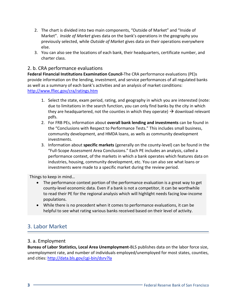- 2. The chart is divided into two main components, "Outside of Market" and "Inside of Market". *Inside of Market* gives data on the bank's operations in the geography you previously selected, while *Outside of Market* gives data on their operations everywhere else.
- 3. You can also see the locations of each bank, their headquarters, certificate number, and charter class.

## 2. b. CRA performance evaluations

**Federal Financial Institutions Examination Council-**The CRA performance evaluations (PE)s provide information on the lending, investment, and service performances of all regulated banks as well as a summary of each bank's activities and an analysis of market conditions: <http://www.ffiec.gov/cra/ratings.htm>

- 1. Select the state, exam period, rating, and geography in which you are interested (note: due to limitations in the search function, you can only find banks by the city in which they are headquartered, not the counties in which they operate)  $\rightarrow$  download relevant pdfs.
- 2. For FRB PEs, information about **overall bank lending and investments** can be found in the "Conclusions with Respect to Performance Tests." This includes small business, community development, and HMDA loans, as wells as community development investments.
- 3. Information about **specific markets** (generally on the county-level) can be found in the "Full-Scope Assessment Area Conclusions." Each PE includes an analysis, called a performance context, of the markets in which a bank operates which features data on industries, housing, community development, etc. You can also see what loans or investments were made to a specific market during the review period.

Things to keep in mind…

- The performance context portion of the performance evaluation is a great way to get county-level economic data. Even if a bank is not a competitor, it can be worthwhile to read their PE for the regional analysis which will highlight needs facing low-income populations.
- While there is no precedent when it comes to performance evaluations, it can be helpful to see what rating various banks received based on their level of activity.

## 3. Labor Market

## 3. a. Employment

**Bureau of Labor Statistics, Local Area Unemployment-**BLS publishes data on the labor force size, unemployment rate, and number of individuals employed/unemployed for most states, counties, and cities: <http://data.bls.gov/cgi-bin/dsrv?la>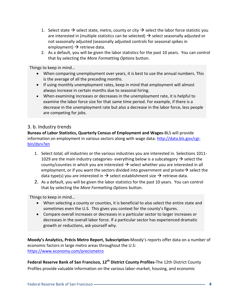- 1. Select state  $\rightarrow$  select state, metro, county or city  $\rightarrow$  select the labor force statistic you are interested in (multiple statistics can be selected)  $\rightarrow$  select seasonally adjusted or not seasonally adjusted (seasonally adjusted controls for seasonal spikes in employment)  $\rightarrow$  retrieve data.
- 2. As a default, you will be given the labor statistics for the past 10 years. You can control that by selecting the *More Formatting Options* button.

Things to keep in mind…

- When comparing unemployment over years, it is best to use the annual numbers. This is the average of all the preceding months.
- If using monthly unemployment rates, keep in mind that employment will almost always increase in certain months due to seasonal hiring.
- When examining increases or decreases in the unemployment rate, it is helpful to examine the labor force size for that same time period. For example, if there is a decrease in the unemployment rate but also a decrease in the labor force, less people are competing for jobs.

## 3. b. Industry trends

**Bureau of Labor Statistics, Quarterly Census of Employment and Wages-**BLS will provide information on employment in various sectors along with wage data: [http://data.bls.gov/cgi](http://data.bls.gov/cgi-bin/dsrv?en)[bin/dsrv?en](http://data.bls.gov/cgi-bin/dsrv?en) 

- 1. Select *total, all industries* or the various industries you are interested in. Selections 1011- 1029 are the main industry categories- everything below is a subcategory  $\rightarrow$  select the county/counties in which you are interested  $\rightarrow$  select whether you are interested in all employment, or if you want the sectors divided into government and private  $\rightarrow$  select the data type(s) you are interested in  $\rightarrow$  select establishment size  $\rightarrow$  retrieve data.
- 2. As a default, you will be given the labor statistics for the past 10 years. You can control that by selecting the *More Formatting Options* button.

Things to keep in mind…

- When selecting a county or counties, it is beneficial to also select the entire state and sometimes even the U.S. This gives you context for the county's figures.
- Compare overall increases or decreases in a particular sector to larger increases or decreases in the overall labor force. If a particular sector has experienced dramatic growth or reductions, ask yourself why.

**Moody's Analytics, Précis Metro Report, Subscription-**Moody's reports offer data on a number of economic factors in large metro areas throughout the U.S: <https://www.economy.com/precismetro>

**Federal Reserve Bank of San Francisco, 12th District County Profiles-**The 12th District County Profiles provide valuable information on the various labor-market, housing, and economic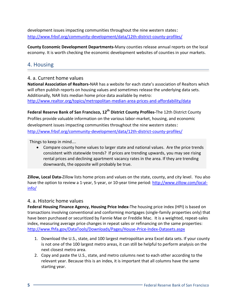development issues impacting communities throughout the nine western states: <http://www.frbsf.org/community-development/data/12th-district-county-profiles/>

**County Economic Development Departments-**Many counties release annual reports on the local economy. It is worth checking the economic development websites of counties in your markets.

## 4. Housing

## 4. a. Current home values

**National Association of Realtors-**NAR has a website for each state's association of Realtors which will often publish reports on housing values and sometimes release the underlying data sets. Additionally, NAR lists median home price data available by metro: <http://www.realtor.org/topics/metropolitan-median-area-prices-and-affordability/data>

**Federal Reserve Bank of San Francisco, 12th District County Profiles-**The 12th District County Profiles provide valuable information on the various labor-market, housing, and economic development issues impacting communities throughout the nine western states: <http://www.frbsf.org/community-development/data/12th-district-county-profiles/>

Things to keep in mind….

 Compare county home values to larger state and national values. Are the price trends consistent with statewide trends? If prices are trending upwards, you may see rising rental prices and declining apartment vacancy rates in the area. If they are trending downwards, the opposite will probably be true.

**Zillow, Local Data-**Zillow lists home prices and values on the state, county, and city level. You also have the option to review a 1-year, 5-year, or 10-year time period: [http://www.zillow.com/local](http://www.zillow.com/local-info/)[info/](http://www.zillow.com/local-info/)

## 4. a. Historic home values

**Federal Housing Finance Agency, Housing Price Index-**The housing price index (HPI) is based on transactions involving conventional and conforming mortgages (single-family properties only) that have been purchased or securitized by Fannie Mae or Freddie Mac. It is a weighted, repeat-sales index, measuring average price changes in repeat sales or refinancing on the same properties: <http://www.fhfa.gov/DataTools/Downloads/Pages/House-Price-Index-Datasets.aspx>

- 1. Download the U.S., state, and 100 largest metropolitan area Excel data sets. If your county is not one of the 100 largest metro areas, it can still be helpful to perform analysis on the next closest metro area.
- 2. Copy and paste the U.S., state, and metro columns next to each other according to the relevant year. Because this is an index, it is important that all columns have the same starting year.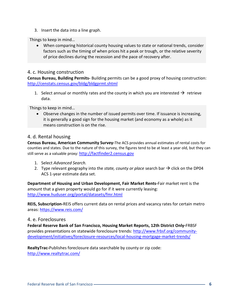3. Insert the data into a line graph.

Things to keep in mind…

 When comparing historical county housing values to state or national trends, consider factors such as the timing of when prices hit a peak or trough, or the relative severity of price declines during the recession and the pace of recovery after.

## 4. c. Housing construction

**Census Bureau, Building Permits-** Building permits can be a good proxy of housing construction: <http://censtats.census.gov/bldg/bldgprmt.shtml>

1. Select annual or monthly rates and the county in which you are interested  $\rightarrow$  retrieve data.

Things to keep in mind…

 Observe changes in the number of issued permits over time. If issuance is increasing, it is generally a good sign for the housing market (and economy as a whole) as it means construction is on the rise.

## 4. d. Rental housing

**Census Bureau, American Community Survey-**The ACS provides annual estimates of rental costs for counties and states. Due to the nature of this survey, the figures tend to be at least a year old, but they can still serve as a valuable proxy: [http://factfinder2.census.gov](http://factfinder2.census.gov/)

- 1. Select *Advanced Search.*
- 2. Type relevant geography into the *state, county or place* search bar  $\rightarrow$  click on the DP04 ACS 1-year estimate data set.

**Department of Housing and Urban Development, Fair Market Rents-**Fair market rent is the amount that a given property would go for if it were currently leasing: <http://www.huduser.org/portal/datasets/fmr.html>

**REIS, Subscription-**REIS offers current data on rental prices and vacancy rates for certain metro areas:<https://www.reis.com/>

#### 4. e. Foreclosures

**Federal Reserve Bank of San Francisco, Housing Market Reports, 12th District Only-**FRBSF provides presentations on statewide foreclosure trends: [http://www.frbsf.org/community](http://www.frbsf.org/community-development/initiatives/foreclosure-resources/local-housing-mortgage-market-trends/)[development/initiatives/foreclosure-resources/local-housing-mortgage-market-trends/](http://www.frbsf.org/community-development/initiatives/foreclosure-resources/local-housing-mortgage-market-trends/)

**RealtyTrac-**Publishes foreclosure data searchable by county or zip code: <http://www.realtytrac.com/>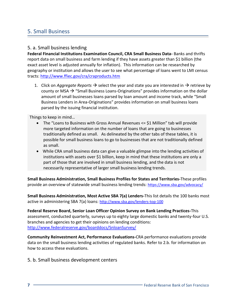## 5. Small Business

## 5. a. Small business lending

**Federal Financial Institutions Examination Council, CRA Small Business Data-** Banks and thrifts report data on small business and farm lending if they have assets greater than \$1 billion (the exact asset level is adjusted annually for inflation). This information can be researched by geography or institution and allows the user to see what percentage of loans went to LMI census tracts[: http://www.ffiec.gov/cra/craproducts.htm](http://www.ffiec.gov/cra/craproducts.htm)

1. Click on *Aggregate Reports*  $\rightarrow$  select the year and state you are interested in  $\rightarrow$  retrieve by county or MSA  $\rightarrow$  "Small Business Loans-Originations" provides information on the dollar amount of small businesses loans parsed by loan amount and income track, while "Small Business Lenders in Area-Originations" provides information on small business loans parsed by the issuing financial institution.

Things to keep in mind…

- The "Loans to Business with Gross Annual Revenues <= \$1 Million" tab will provide more targeted information on the number of loans that are going to businesses traditionally defined as small. As delineated by the other tabs of these tables, it is possible for small business loans to go to businesses that are not traditionally defined as small.
- While CRA small business data can give a valuable glimpse into the lending activities of institutions with assets over \$1 billion, keep in mind that these institutions are only a part of those that are involved in small business lending, and the data is not necessarily representative of larger small business lending trends.

**Small Business Administration, Small Business Profiles for States and Territories-**These profiles provide an overview of statewide small business lending trends: <https://www.sba.gov/advocacy/>

**Small Business Administration, Most Active SBA 7(a) Lenders-**This list details the 100 banks most active in administering SBA 7(a) loans: <http://www.sba.gov/lenders-top-100>

**Federal Reserve Board, Senior Loan Officer Opinion Survey on Bank Lending Practices-**This assessment, conducted quarterly, surveys up to eighty large domestic banks and twenty-four U.S. branches and agencies to get their opinions on lending conditions: <http://www.federalreserve.gov/boarddocs/SnloanSurvey/>

**Community Reinvestment Act, Performance Evaluations-**CRA performance evaluations provide data on the small business lending activities of regulated banks. Refer to 2.b. for information on how to access these evaluations.

5. b. Small business development centers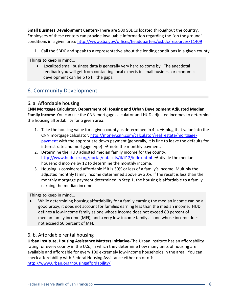**Small Business Development Centers-**There are 900 SBDCs located throughout the country. Employees of these centers can provide invaluable information regarding the "on the ground" conditions in a given area:<http://www.sba.gov/offices/headquarters/osbdc/resources/11409>

1. Call the SBDC and speak to a representative about the lending conditions in a given county.

Things to keep in mind…

 Localized small business data is generally very hard to come by. The anecdotal feedback you will get from contacting local experts in small business or economic development can help to fill the gaps.

## 6. Community Development

## 6. a. Affordable housing

**CNN Mortgage Calculator, Department of Housing and Urban Development Adjusted Median Family Income-**You can use the CNN mortgage calculator and HUD adjusted incomes to determine the housing affordability for a given area:

- 1. Take the housing value for a given county as determined in 4.a.  $\rightarrow$  plug that value into the CNN mortgage calculator: [http://money.cnn.com/calculator/real\\_estate/mortgage](http://money.cnn.com/calculator/real_estate/mortgage-payment)[payment](http://money.cnn.com/calculator/real_estate/mortgage-payment) with the appropriate down payment (generally, it is fine to leave the defaults for interest rate and mortgage type)  $\rightarrow$  note the monthly payment.
- 2. Determine the HUD adjusted median family income for the county: <http://www.huduser.org/portal/datasets/il/il12/index.html> $\rightarrow$  divide the median household income by 12 to determine the monthly income.
- 3. Housing is considered affordable if it is 30% or less of a family's income. Multiply the adjusted monthly family income determined above by 30%. If the result is less than the monthly mortgage payment determined in Step 1, the housing is affordable to a family earning the median income.

Things to keep in mind…

 While determining housing affordability for a family earning the median income can be a good proxy, it does not account for families earning less than the median income. HUD defines a low-income family as one whose income does not exceed 80 percent of median family income (MFI), and a very low-income family as one whose income does not exceed 50 percent of MFI.

## 6. b. Affordable rental housing

**Urban Institute, Housing Assistance Matters Initiative-**The Urban Institute has an affordability rating for every county in the U.S., in which they determine how many units of housing are available and affordable for every 100 extremely low-income households in the area. You can check affordability with Federal Housing Assistance either on or off: <http://www.urban.org/housingaffordability/>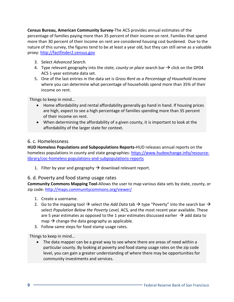**Census Bureau, American Community Survey-**The ACS provides annual estimates of the percentage of families paying more than 35 percent of their income on rent. Families that spend more than 30 percent of their income on rent are considered housing cost burdened. Due to the nature of this survey, the figures tend to be at least a year old, but they can still serve as a valuable proxy: [http://factfinder2.census.gov](http://factfinder2.census.gov/)

- 3. Select *Advanced Search.*
- 4. Type relevant geography into the *state, county or place* search bar  $\rightarrow$  click on the DP04 ACS 1-year estimate data set.
- 5. One of the last entries in the data set is *Gross Rent as a Percentage of Household Income*  where you can determine what percentage of households spend more than 35% of their income on rent.

Things to keep in mind…

- Home affordability and rental affordability generally go hand in hand. If housing prices are high, expect to see a high percentage of families spending more than 35 percent of their income on rent.
- When determining the affordability of a given county, it is important to look at the affordability of the larger state for context.

## 6. c. Homelessness

**HUD Homeless Populations and Subpopulations Reports-**HUD releases annual reports on the homeless populations in county and state geographies: [https://www.hudexchange.info/resource](https://www.hudexchange.info/resource-library/coc-homeless-populations-and-subpopulations-reports)[library/coc-homeless-populations-and-subpopulations-reports](https://www.hudexchange.info/resource-library/coc-homeless-populations-and-subpopulations-reports) 

1. Filter by year and geography  $\rightarrow$  download relevant report.

## 6. d. Poverty and food stamp usage rates

**Community Commons Mapping Tool-**Allows the user to map various data sets by state, county, or zip code:<http://maps.communitycommons.org/viewer/>

- 1. Create a username.
- 2. Go to the mapping tool  $\rightarrow$  select the *Add Data* tab  $\rightarrow$  type "Poverty" into the search bar  $\rightarrow$ select *Population Below the Poverty Level,* ACS*,* and the most recent year available. These are 5 year estimates as opposed to the 1 year estimates discussed earlier  $\rightarrow$  add data to map  $\rightarrow$  change the data geography as applicable.
- 3. Follow same steps for food stamp usage rates.

Things to keep in mind…

 The data mapper can be a great way to see where there are areas of need within a particular county. By looking at poverty and food stamp usage rates on the zip code level, you can gain a greater understanding of where there may be opportunities for community investments and services.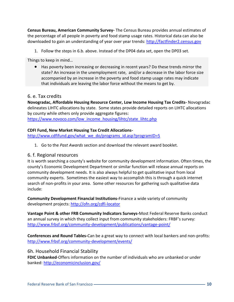**Census Bureau, American Community Survey-** The Census Bureau provides annual estimates of the percentage of all people in poverty and food stamp usage rates. Historical data can also be downloaded to gain an understanding of year over year trends: [http://factfinder2.census.gov](http://factfinder2.census.gov/)

1. Follow the steps in 6.b. above. Instead of the DP04 data set, open the DP03 set.

Things to keep in mind…

 Has poverty been increasing or decreasing in recent years? Do these trends mirror the state? An increase in the unemployment rate, and/or a decrease in the labor force size accompanied by an increase in the poverty and food stamp usage rates may indicate that individuals are leaving the labor force without the means to get by.

#### 6. e. Tax credits

**Novogradac, Affordable Housing Resource Center, Low Income Housing Tax Credits-** Novogradac delineates LIHTC allocations by state. Some states provide detailed reports on LIHTC allocations by county while others only provide aggregate figures: [https://www.novoco.com/low\\_income\\_housing/lihtc/state\\_lihtc.php](https://www.novoco.com/low_income_housing/lihtc/state_lihtc.php)

#### **CDFI Fund, New Market Housing Tax Credit Allocations-**

[http://www.cdfifund.gov/what\\_we\\_do/programs\\_id.asp?programID=5](http://www.cdfifund.gov/what_we_do/programs_id.asp?programID=5)

1. Go to the *Past Awards* section and download the relevant award booklet.

#### 6. f. Regional resources

It is worth searching a county's website for community development information. Often times, the county's Economic Development Department or similar function will release annual reports on community development needs. It is also always helpful to get qualitative input from local community experts. Sometimes the easiest way to accomplish this is through a quick internet search of non-profits in your area. Some other resources for gathering such qualitative data include:

**Community Development Financial Institutions-**Finance a wide variety of community development projects:<http://ofn.org/cdfi-locator>

**Vantage Point & other FRB Community Indicators Surveys-**Most Federal Reserve Banks conduct an annual survey in which they collect input from community stakeholders: FRBF's survey: <http://www.frbsf.org/community-development/publications/vantage-point/>

**Conferences and Round Tables-**Can be a great way to connect with local bankers and non-profits: <http://www.frbsf.org/community-development/events/>

6h. Household Financial Stability

**FDIC Unbanked**-Offers information on the number of individuals who are unbanked or under banked:<http://economicinclusion.gov/>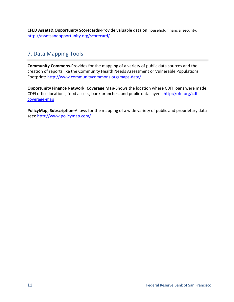**CFED Assets& Opportunity Scorecards-**Provide valuable data on household financial security: <http://assetsandopportunity.org/scorecard/>

## 7. Data Mapping Tools

**Community Commons-**Provides for the mapping of a variety of public data sources and the creation of reports like the Community Health Needs Assessment or Vulnerable Populations Footprint[: http://www.communitycommons.org/maps-data/](http://www.communitycommons.org/maps-data/)

**Opportunity Finance Network, Coverage Map-**Shows the location where CDFI loans were made, CDFI office locations, food access, bank branches, and public data layers: [http://ofn.org/cdfi](http://ofn.org/cdfi-coverage-map)[coverage-map](http://ofn.org/cdfi-coverage-map)

**PolicyMap, Subscription-**Allows for the mapping of a wide variety of public and proprietary data sets:<http://www.policymap.com/>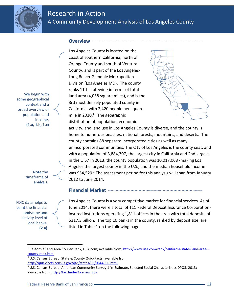

## Research in Action A Community Development Analysis of Los Angeles County

### **Overview**

We begin with some geographical context and a broad overview of population and income. **(1.a, 1.b, 1.c)** 

> Note the timeframe of analysis.

FDIC data helps to paint the financial landscape and activity level of local banks. **(2.a)** 

 $\overline{a}$ 

Los Angeles County is located on the coast of southern California, north of Orange County and south of Ventura County, and is part of the Los Angeles-Long Beach-Glendale Metropolitan Division (Los Angeles MD). The county ranks 11th statewide in terms of total land area (4,058 square miles), and is the 3rd most densely populated county in California, with 2,420 people per square mile in  $2010.<sup>1</sup>$  The geographic distribution of population, economic



activity, and land use in Los Angeles County is diverse, and the county is home to numerous beaches, national forests, mountains, and deserts. The county contains 88 separate incorporated cities as well as many unincorporated communities. The City of Los Angeles is the county seat, and with a population of 3,884,307, the largest city in California and 2nd largest in the U.S.<sup>2</sup> In 2013, the county population was 10,017,068 -making Los Angeles the largest county in the U.S., and the median household income was \$54,529.<sup>3</sup> The assessment period for this analysis will span from January 2012 to June 2014.

## **Financial Market**

Los Angeles County is a very competitive market for financial services. As of June 2014, there were a total of 111 Federal Deposit Insurance Corporationinsured institutions operating 1,811 offices in the area with total deposits of \$317.3 billion. The top 10 banks in the county, ranked by deposit size, are listed in Table 1 on the following page.

<sup>&</sup>lt;sup>1</sup> California Land Area County Rank, USA.com; available from[: http://www.usa.com/rank/california-state--land-area-](http://www.usa.com/rank/california-state--land-area--county-rank.htm) [county-rank.htm.](http://www.usa.com/rank/california-state--land-area--county-rank.htm)

 $2$  U.S. Census Bureau, State & County QuickFacts; available from:

[http://quickfacts.census.gov/qfd/states/06/0644000.html.](http://quickfacts.census.gov/qfd/states/06/0644000.html)

 $^3$  U.S. Census Bureau, American Community Survey 1-Yr Estimate, Selected Social Characteristics DPO3, 2013; available from: [http://factfinder2.census.gov.](http://factfinder2.census.gov/)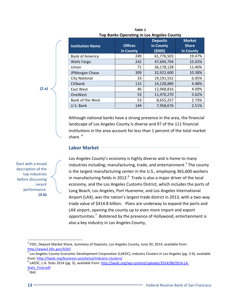|                         |                | <b>Deposits</b> | <b>Market</b> |
|-------------------------|----------------|-----------------|---------------|
| <b>Institution Name</b> | <b>Offices</b> | in County       | <b>Share</b>  |
|                         | in County      | (5000)          | in County     |
| <b>Bank of America</b>  | 249            | 61,776,503      | 19.47%        |
| <b>Wells Fargo</b>      | 242            | 47,694,794      | 15.03%        |
| Union                   | 71             | 36,178,128      | 11.40%        |
| JPMorgan Chase          | 309            | 32,922,600      | 10.38%        |
| <b>City National</b>    | 33             | 19,191,552      | 6.05%         |
| Citibank                | 115            | 14,228,889      | 4.48%         |
| East West               | 46             | 12,968,816      | 4.09%         |
| <b>OneWest</b>          | 53             | 11,470,270      | 3.62%         |
| Bank of the West        | 53             | 8,655,257       | 2.73%         |
| U.S. Bank               | 144            | 7,958,676       | 2.51%         |

*Table 1* **Top Banks Operating in Los Angeles County**

Although national banks have a strong presence in the area, the financial landscape of Los Angeles County is diverse and 97 of the 111 financial institutions in the area account for less than 1 percent of the total market share. $4$ 

#### **Labor Market**

Start with a broad description of the top industries before discussing recent performance. **(3.b)** 

**(2.a)** 

Los Angeles County's economy is highly diverse and is home to many industries including; manufacturing, trade, and entertainment.<sup>5</sup> The county is the largest manufacturing center in the U.S., employing 365,600 workers in manufacturing fields in 2012. $^6$  Trade is also a major driver of the local economy, and the Los Angeles Customs District, which includes the ports of Long Beach, Los Angeles, Port Hueneme, and Los Angeles International Airport (LAX), was the nation's largest trade district in 2013, with a two-way trade value of \$414.8 billion. Plans are underway to expand the ports and LAX airport, opening the county up to even more import and export opportunities.<sup>7</sup> Bolstered by the presence of Hollywood, entertainment is also a key industry in Los Angeles County,

 $\overline{\phantom{a}}$ 

 $^4$  FIDC, Deposit Market Share, Summary of Deposits, Los Angeles County, June 30, 2014; available from: <http://www2.fdic.gov/SOD/>

<sup>&</sup>lt;sup>5</sup> Los Angeles County Economic Development Corporation (LAEDC), Industry Clusters in Los Angeles (pg. 2-4), available from[: http://laedc.org/business-assistance/industry-clusters/](http://laedc.org/business-assistance/industry-clusters/)

<sup>&</sup>lt;sup>6</sup> LAEDC, L.A. Stats 2014 (pg. 3), available from: [http://laedc.org/wp-content/uploads/2014/08/2014-LA-](http://laedc.org/wp-content/uploads/2014/08/2014-LA-Stats_Final.pdf)[Stats\\_Final.pdf](http://laedc.org/wp-content/uploads/2014/08/2014-LA-Stats_Final.pdf)

 $<sup>7</sup>$  Ibid.</sup>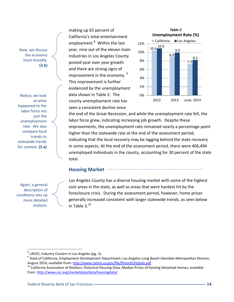Now, we discuss the economy more broadly. **(3.b)** 

Notice, we look at what happened to the labor force not just the unemployment rate. We also compare local trends to statewide trends for context. **(3.a)**

**2.a**  Again, a general description of conditions sets up more detailed analysis.

l

making up 63 percent of California's total entertainment employment.<sup>8</sup> Within the last year, nine out of the eleven main industries in Los Angeles County posted year over year growth and there are strong signs of improvement in the economy.  $9$ This improvement is further evidenced by the unemployment data shown in Table 2. The county unemployment rate has seen a consistent decline since



the end of the Great Recession, and while the unemployment rate fell, the labor force grew, indicating increasing job growth. Despite these improvements, the unemployment rate remained nearly a percentage point higher than the statewide rate at the end of the assessment period, indicating that the local recovery may be lagging behind the state recovery in some aspects. At the end of the assessment period, there were 406,494 unemployed individuals in the county, accounting for 30 percent of the state total.

## **Housing Market**

Los Angeles County has a diverse housing market with some of the highest cost areas in the state, as well as areas that were hardest hit by the foreclosure crisis. During the assessment period, however, home prices generally increased consistent with larger statewide trends, as seen below in Table  $3.^{10}$ 

 $^8$  LAEDC, Industry Clusters in Los Angeles (pg. 2).

<sup>&</sup>lt;sup>9</sup> State of California, Employment Development Department, Los Angeles-Long Beach-Glendale Metropolitan Division, August 2014, available from[: http://www.calmis.ca.gov/file/lfmonth/la\\$pds.pdf](http://www.calmis.ca.gov/file/lfmonth/la$pds.pdf)

 $^{10}$  California Association of Realtors, Historical Housing Data, Median Prices of Existing Detached Homes; available from[: http://www.car.org/marketdata/data/housingdata/](http://www.car.org/marketdata/data/housingdata/)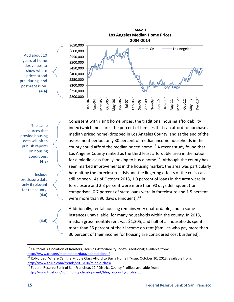

Add about 10 years of home index values to show where prices stood pre, during, and post-recession. **(4.a)**

The same sources that provide housing data will often publish reports on housing conditions. **(4.a)**

Include foreclosure data only if relevant for the county. **(4.a)**

**(4.d)**

Consistent with rising home prices, the traditional housing affordability index (which measures the percent of families that can afford to purchase a median priced home) dropped in Los Angeles County, and at the end of the assessment period, only 30 percent of median income households in the county could afford the median priced home.<sup>11</sup> A recent study found that Los Angeles County ranked as the third least affordable area in the nation for a middle class family looking to buy a home.<sup>12</sup> Although the county has seen marked improvements in the housing market, the area was particularly hard hit by the foreclosure crisis and the lingering effects of the crisis can still be seen. As of October 2013, 1.0 percent of loans in the area were in foreclosure and 2.3 percent were more than 90 days delinquent (for comparison, 0.7 percent of state loans were in foreclosure and 1.5 percent were more than 90 days delinquent). $^{13}$ 

Additionally, rental housing remains very unaffordable, and in some instances unavailable, for many households within the county. In 2013, median gross monthly rent was \$1,205, and half of all households spent more than 35 percent of their income on rent (families who pay more than 30 percent of their income for housing are considered cost burdened).

 $\overline{a}$  $11$  California Association of Realtors, Housing Affordability Index-Traditional; available from: <http://www.car.org/marketdata/data/haitraditional/>

<sup>&</sup>lt;sup>12</sup> Kolko, Jed. Where Can the Middle Class Afford to Buy a Home? *Trulia*. October 10, 2013; available from: <http://www.trulia.com/trends/2013/10/middle-class/>

 $\frac{13}{13}$  Federal Reserve Bank of San Francisco, 12<sup>th</sup> District County Profiles; available from: <http://www.frbsf.org/community-development/files/la-county-profile.pdf>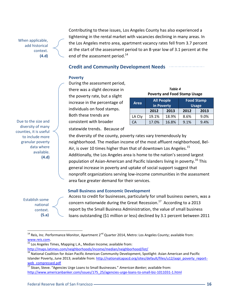When applicable, add historical context. **(4.d)** Contributing to these issues, Los Angeles County has also experienced a tightening in the rental market with vacancies declining in many areas. In the Los Angeles metro area, apartment vacancy rates fell from 3.7 percent at the start of the assessment period to an 8-year low of 3.1 percent at the end of the assessment period.<sup>14</sup>

## **Credit and Community Development Needs**

#### **Poverty**

During the assessment period, there was a slight decrease in the poverty rate, but a slight increase in the percentage of individuals on food stamps. Both these trends are consistent with broader statewide trends. Because of

| <i>I UDI</i> C 7<br><b>Poverty and Food Stamp Usage</b> |                                 |       |                                   |      |  |  |
|---------------------------------------------------------|---------------------------------|-------|-----------------------------------|------|--|--|
| <b>Area</b>                                             | <b>All People</b><br>in Poverty |       | <b>Food Stamp</b><br><b>Usage</b> |      |  |  |
|                                                         | 2012                            | 2013  | 2012                              | 2013 |  |  |
| LA Cty                                                  | 19.1%                           | 18.9% | 8.6%                              | 9.0% |  |  |
| CA                                                      | 17.0%                           | 16.8% | 9.1%                              | 9.4% |  |  |

*Table 4*

Due to the size and diversity of many counties, it is useful to include more granular poverty data where available. **(4.d)**

the diversity of the county, poverty rates vary tremendously by neighborhood. The median income of the most affluent neighborhood, Bel-Air, is over 10 times higher than that of downtown Los Angeles.<sup>15</sup> Additionally, the Los Angeles area is home to the nation's second largest population of Asian-American and Pacific Islanders living in poverty.<sup>16</sup> This general increase in poverty and uptake of social support suggest that nonprofit organizations serving low-income communities in the assessment area face greater demand for their services.

#### **Small Business and Economic Development**

Establish some national context. **(5.a)**

 $\overline{\phantom{a}}$ 

Access to credit for businesses, particularly for small business owners, was a concern nationwide during the Great Recession.<sup>17</sup> According to a 2013 report by the Small Business Administration, the value of small business loans outstanding (\$1 million or less) declined by 3.1 percent between 2011

<sup>15</sup> Los Angeles Times, Mapping L.A., Median Income; available from: <http://maps.latimes.com/neighborhoods/income/median/neighborhood/list/>

 $^{14}$  Reis, Inc. Performance Monitor, Apartment 2<sup>nd</sup> Quarter 2014, Metro: Los Angeles County; available from: [www.reis.com.](http://www.reis.com/)

<sup>&</sup>lt;sup>16</sup> National Coalition for Asian Pacific American Community Development, Spotlight: Asian American and Pacific Islander Poverty, June 2013; available from: [http://nationalcapacd.org/sites/default/files/u12/aapi\\_poverty\\_report](http://nationalcapacd.org/sites/default/files/u12/aapi_poverty_report-web_compressed.pdf)[web\\_compressed.pdf](http://nationalcapacd.org/sites/default/files/u12/aapi_poverty_report-web_compressed.pdf)

<sup>17</sup> Sloan, Steve. "Agencies Urge Loans to Small Businesses." *American Banker;* available from: [http://www.americanbanker.com/issues/175\\_25/agencies-urge-loans-to-small-biz-1011031-1.html](http://www.americanbanker.com/issues/175_25/agencies-urge-loans-to-small-biz-1011031-1.html)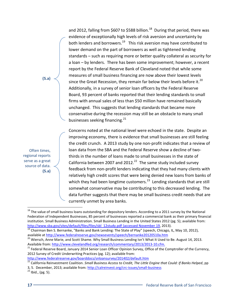and 2012, falling from \$607 to \$588 billion.<sup>18</sup> During that period, there was evidence of exceptionally high levels of risk aversion and uncertainty by both lenders and borrowers.<sup>19</sup> This risk aversion may have contributed to lower demand on the part of borrowers as well as tightened lending standards – such as requiring more or better quality collateral as security for a loan – by lenders. There has been some improvement; however, a recent report by the Federal Reserve Bank of Cleveland noted that while some measures of small business financing are now above their lowest levels since the Great Recession, they remain far below their levels before it.<sup>20</sup> Additionally, in a survey of senior loan officers by the Federal Reserve Board, 93 percent of banks reported that their lending standards to small firms with annual sales of less than \$50 million have remained basically unchanged. This suggests that lending standards that became more conservative during the recession may still be an obstacle to many small businesses seeking financing. $^{21}$ 

Concerns noted at the national level were echoed in the state. Despite an improving economy, there is evidence that small businesses are still feeling the credit crunch. A 2013 study by one non-profit indicates that a review of loan data from the SBA and the Federal Reserve show a decline of twothirds in the number of loans made to small businesses in the state of California between 2007 and 2012. $^{22}$  The same study included survey feedback from non-profit lenders indicating that they had many clients with relatively high credit scores that were being denied new loans from banks of which they had been longtime customers.<sup>23</sup> Lending standards that are still somewhat conservative may be contributing to this decreased lending. The data further suggests that there may be small business credit needs that are currently unmet by area banks.

<http://www.federalreserve.gov/boarddocs/snloansurvey/201402/default.htm>

Often times, regional reports serve as a great source of data. **(5.a)**

**(5.a)**

 $\overline{\phantom{a}}$ 

<sup>&</sup>lt;sup>18</sup> The value of small business loans outstanding for depository lenders. According to a 2011 survey by the National Federation of Independent Businesses, 85 percent of businesses reported a commercial bank as their primary financial institution. Small Business Administration. Small Business Lending in the United States 2012 (pg. 5); available from: [http://www.sba.gov/sites/default/files/files/sbl\\_12study.pdf \(accessed November 19,](http://www.sba.gov/sites/default/files/files/sbl_12study.pdf.%20(accessed%20November%2019) 2013).

<sup>&</sup>lt;sup>19</sup> Chairman Ben S. Bernanke, "Banks and Bank Lending: The State of Play" (speech, Chicago, IL, May 10, 2012), available a[t http://www.federalreserve.gov/newsevents/speech/bernanke20120510a.htm](http://www.federalreserve.gov/newsevents/speech/bernanke20120510a.htm)

<sup>&</sup>lt;sup>20</sup> Wiersch, Anne Marie, and Scott Shame. Why Small Business Lending Isn't What It Used to Be. August 14, 2013. Available from: [http://www.clevelandfed.org/research/commentary/2013/2013-10.cfm.](http://www.clevelandfed.org/research/commentary/2013/2013-10.cfm)

<sup>&</sup>lt;sup>21</sup> Federal Reserve Board, January 2014 Senior Loan Officer Opinion Survey, Office of the Comptroller of the Currency, 2012 Survey of Credit Underwriting Practices (pg. 12); available from:

<sup>&</sup>lt;sup>22</sup> California Reinvestment Coalition. *Small Business Access to Credit*, The Little Engine that Could: If Banks Helped, pp

<sup>3, 5.</sup> December, 2013; available from:<http://calreinvest.org/crc-issues/small-business>

 $23$  Ibid., (pg. 5).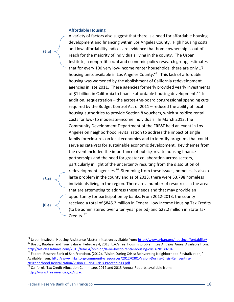#### **Affordable Housing**

**(6.a)**

**(6.c)**

**(6.e)**

A variety of factors also suggest that there is a need for affordable housing development and financing within Los Angeles County. High housing costs and low affordability indices are evidence that home ownership is out of reach for the majority of individuals living in the county. The Urban Institute, a nonprofit social and economic policy research group, estimates that for every 100 very low-income renter households, there are only 17 housing units available in Los Angeles County.<sup>24</sup> This lack of affordable housing was worsened by the abolishment of California redevelopment agencies in late 2011. These agencies formerly provided yearly investments of \$1 billion in California to finance affordable housing development.<sup>25</sup> In addition, sequestration – the across-the-board congressional spending cuts required by the Budget Control Act of 2011 – reduced the ability of local housing authorities to provide Section 8 vouchers, which subsidize rental costs for low- to moderate-income individuals. In March 2012, the Community Development Department of the FRBSF held an event in Los Angeles on neighborhood revitalization to address the impact of single family foreclosures on local economies and to identify programs that could serve as catalysts for sustainable economic development. Key themes from the event included the importance of public/private housing finance partnerships and the need for greater collaboration across sectors, particularly in light of the uncertainty resulting from the dissolution of redevelopment agencies.<sup>26</sup> Stemming from these issues, homeless is also a large problem in the county and as of 2013, there were 53,798 homeless individuals living in the region. There are a number of resources in the area that are attempting to address these needs and that may provide an opportunity for participation by banks. From 2012-2013, the county received a total of \$845.2 million in Federal Low Income Housing Tax Credits (to be administered over a ten-year period) and \$22.2 million in State Tax Credits.<sup>27</sup>

 $\overline{\phantom{a}}$ 

<sup>&</sup>lt;sup>24</sup> Urban Institute, Housing Assistance Matter Initiative; available from:<http://www.urban.org/housingaffordability/> <sup>25</sup> Bostic, Raphael and Tony Salazar. February 4, 2013. L.A.'s real housing problem. *Los Angeles Times.* Available from:

<http://articles.latimes.com/2013/feb/04/opinion/la-oe-bostic-rental-housing-crisis-20130204>

<sup>&</sup>lt;sup>26</sup> Federal Reserve Bank of San Francisco, (2012), "Vision During Crisis: Reinventing Neighborhood Revitalization," Available from: [http://www.frbsf.org/community/resources/2012/0301-Vision-During-Crisis-Reinventing-](http://www.frbsf.org/community/resources/2012/0301-Vision-During-Crisis-Reinventing-Neighborhood-Revitalization/Vision-During-Crisis-Proceedings.pdf)[Neighborhood-Revitalization/Vision-During-Crisis-Proceedings.pdf.](http://www.frbsf.org/community/resources/2012/0301-Vision-During-Crisis-Reinventing-Neighborhood-Revitalization/Vision-During-Crisis-Proceedings.pdf)

 $\frac{27}{27}$  California Tax Credit Allocation Committee, 2012 and 2013 Annual Reports; available from: <http://www.treasurer.ca.gov/ctcac>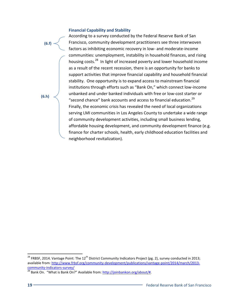#### **Financial Capability and Stability**

**(6.f)**

According to a survey conducted by the Federal Reserve Bank of San Francisco, community development practitioners see three interwoven factors as inhibiting economic recovery in low- and moderate-income communities: unemployment, instability in household finances, and rising housing costs.<sup>28</sup> In light of increased poverty and lower household income as a result of the recent recession, there is an opportunity for banks to support activities that improve financial capability and household financial stability. One opportunity is to expand access to mainstream financial institutions through efforts such as "Bank On," which connect low-income unbanked and under banked individuals with free or low-cost starter or "second chance" bank accounts and access to financial education. $^{29}$ Finally, the economic crisis has revealed the need of local organizations serving LMI communities in Los Angeles County to undertake a wide range of community development activities, including small business lending, affordable housing development, and community development finance (e.g. finance for charter schools, health, early childhood education facilities and neighborhood revitalization).

**(6.h)**

 $\overline{a}$ 

<sup>&</sup>lt;sup>28</sup> FRBSF, 2014. Vantage Point: The 12<sup>th</sup> District Community Indicators Project (pg. 2), survey conducted in 2013; available from: [http://www.frbsf.org/community-development/publications/vantage-point/2014/march/2013](http://www.frbsf.org/community-development/publications/vantage-point/2014/march/2013-community-indicators-survey/) [community-indicators-survey/](http://www.frbsf.org/community-development/publications/vantage-point/2014/march/2013-community-indicators-survey/) 

<sup>&</sup>lt;sup>29</sup> Bank On. "What is Bank On?" Available from: http://joinbankon.org/about/#.